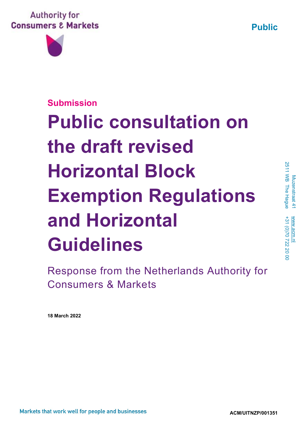**Public**





# **Submission Public consultation on the draft revised Horizontal Block Exemption Regulations and Horizontal Guidelines**

Response from the Netherlands Authority for Consumers & Markets

**18 March 2022**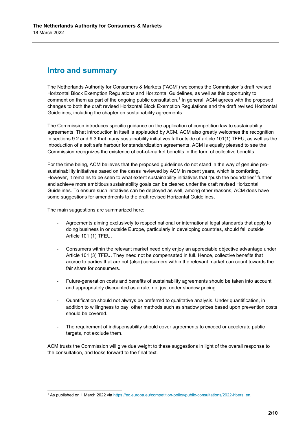## **Intro and summary**

The Netherlands Authority for Consumers & Markets ("ACM") welcomes the Commission's draft revised Horizontal Block Exemption Regulations and Horizontal Guidelines, as well as this opportunity to comment on them as part of the ongoing public consultation.<sup>1</sup> In general, ACM agrees with the proposed changes to both the draft revised Horizontal Block Exemption Regulations and the draft revised Horizontal Guidelines, including the chapter on sustainability agreements.

The Commission introduces specific guidance on the application of competition law to sustainability agreements. That introduction in itself is applauded by ACM. ACM also greatly welcomes the recognition in sections 9.2 and 9.3 that many sustainability initiatives fall outside of article 101(1) TFEU, as well as the introduction of a soft safe harbour for standardization agreements. ACM is equally pleased to see the Commission recognizes the existence of out-of-market benefits in the form of collective benefits.

For the time being, ACM believes that the proposed guidelines do not stand in the way of genuine prosustainability initiatives based on the cases reviewed by ACM in recent years, which is comforting. However, it remains to be seen to what extent sustainability initiatives that "push the boundaries" further and achieve more ambitious sustainability goals can be cleared under the draft revised Horizontal Guidelines. To ensure such initiatives can be deployed as well, among other reasons, ACM does have some suggestions for amendments to the draft revised Horizontal Guidelines.

The main suggestions are summarized here:

- Agreements aiming exclusively to respect national or international legal standards that apply to doing business in or outside Europe, particularly in developing countries, should fall outside Article 101 (1) TFEU.
- Consumers within the relevant market need only enjoy an appreciable objective advantage under Article 101 (3) TFEU. They need not be compensated in full. Hence, collective benefits that accrue to parties that are not (also) consumers within the relevant market can count towards the fair share for consumers.
- Future-generation costs and benefits of sustainability agreements should be taken into account and appropriately discounted as a rule, not just under shadow pricing.
- Quantification should not always be preferred to qualitative analysis. Under quantification, in addition to willingness to pay, other methods such as shadow prices based upon prevention costs should be covered.
- The requirement of indispensability should cover agreements to exceed or accelerate public targets, not exclude them.

ACM trusts the Commission will give due weight to these suggestions in light of the overall response to the consultation, and looks forward to the final text.

<sup>1</sup> As published on 1 March 2022 via [https://ec.europa.eu/competition-policy/public-consultations/2022-hbers\\_en.](https://ec.europa.eu/competition-policy/public-consultations/2022-hbers_en)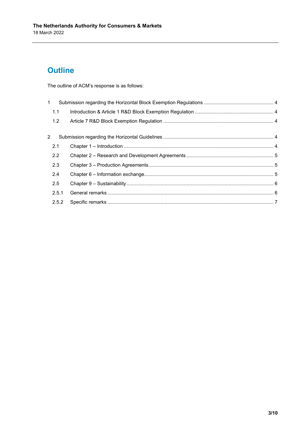# **Outline**

The outline of ACM's response is as follows:

| $\mathbf{1}$ |       |  |
|--------------|-------|--|
|              | 1.1   |  |
|              | 1.2   |  |
| 2            |       |  |
|              | 2.1   |  |
|              | 2.2   |  |
|              | 2.3   |  |
|              | 2.4   |  |
|              | 2.5   |  |
|              | 2.5.1 |  |
|              | 2.5.2 |  |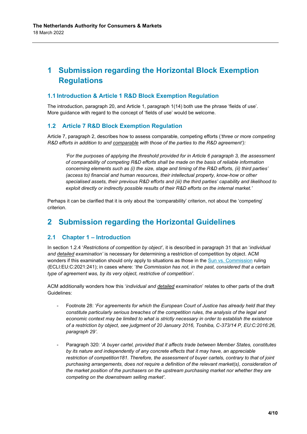## <span id="page-3-0"></span>**1 Submission regarding the Horizontal Block Exemption Regulations**

#### <span id="page-3-1"></span>**1.1 Introduction & Article 1 R&D Block Exemption Regulation**

The introduction, paragraph 20, and Article 1, paragraph 1(14) both use the phrase 'fields of use'. More guidance with regard to the concept of 'fields of use' would be welcome.

#### <span id="page-3-2"></span>**1.2 Article 7 R&D Block Exemption Regulation**

Article 7, paragraph 2, describes how to assess comparable, competing efforts (*'three or more competing R&D efforts in addition to and comparable with those of the parties to the R&D agreement'):*

*'For the purposes of applying the threshold provided for in Article 6 paragraph 3, the assessment of comparability of competing R&D efforts shall be made on the basis of reliable information concerning elements such as (i) the size, stage and timing of the R&D efforts, (ii) third parties' (access to) financial and human resources, their intellectual property, know-how or other specialised assets, their previous R&D efforts and (iii) the third parties' capability and likelihood to exploit directly or indirectly possible results of their R&D efforts on the internal market.'*

Perhaps it can be clarified that it is only about the 'comparability' criterion, not about the 'competing' criterion.

## <span id="page-3-3"></span>**2 Submission regarding the Horizontal Guidelines**

#### <span id="page-3-4"></span>**2.1 Chapter 1 – Introduction**

In section 1.2.4 '*Restrictions of competition by object',* it is described in paragraph 31 that an '*individual and detailed examination'* is necessary for determining a restriction of competition by object. ACM wonders if this examination should only apply to situations as those in the [Sun vs. Commission](https://curia.europa.eu/juris/document/document.jsf;jsessionid=D9487522253FE0603FCB510FE3641870?text=&docid=239296&pageIndex=0&doclang=EN&mode=req&dir=&occ=first&part=1&cid=640491) ruling (ECLI:EU:C:2021:241); in cases where: '*the Commission has not, in the past, considered that a certain type of agreement was, by its very object, restrictive of competition'*.

ACM additionally wonders how this '*individual and detailed examination*' relates to other parts of the draft Guidelines:

- Footnote 28: '*For agreements for which the European Court of Justice has already held that they constitute particularly serious breaches of the competition rules, the analysis of the legal and economic context may be limited to what is strictly necessary in order to establish the existence of a restriction by object, see judgment of 20 January 2016, Toshiba, C-373/14 P, EU:C:2016:26, paragraph 29'*.
- Paragraph 320: '*A buyer cartel, provided that it affects trade between Member States, constitutes by its nature and independently of any concrete effects that it may have, an appreciable restriction of competition181. Therefore, the assessment of buyer cartels, contrary to that of joint purchasing arrangements, does not require a definition of the relevant market(s), consideration of the market position of the purchasers on the upstream purchasing market nor whether they are competing on the downstream selling market'*.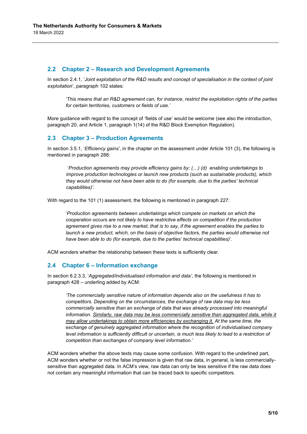#### <span id="page-4-0"></span>**2.2 Chapter 2 – Research and Development Agreements**

In section 2.4.1, '*Joint exploitation of the R&D results and concept of specialisation in the context of joint exploitation*', paragraph 102 states:

*'This means that an R&D agreement can, for instance, restrict the exploitation rights of the parties for certain territories, customers or fields of use.'*

More guidance with regard to the concept of 'fields of use' would be welcome (see also the introduction, paragraph 20, and Article 1, paragraph 1(14) of the R&D Block Exemption Regulation).

#### <span id="page-4-1"></span>**2.3 Chapter 3 – Production Agreements**

In section 3.5.1, '*Efficiency gains'*, in the chapter on the assessment under Article 101 (3), the following is mentioned in paragraph 288:

'*Production agreements may provide efficiency gains by: (…) (d) enabling undertakings to improve production technologies or launch new products (such as sustainable products), which they would otherwise not have been able to do (for example, due to the parties' technical capabilities)'.* 

With regard to the 101 (1) assessment, the following is mentioned in paragraph 227:

'*Production agreements between undertakings which compete on markets on which the cooperation occurs are not likely to have restrictive effects on competition if the production agreement gives rise to a new market, that is to say, if the agreement enables the parties to launch a new product, which, on the basis of objective factors, the parties would otherwise not have been able to do (for example, due to the parties' technical capabilities)*'.

ACM wonders whether the relationship between these texts is sufficiently clear.

#### <span id="page-4-2"></span>**2.4 Chapter 6 – Information exchange**

In section 6.2.3.3, '*Aggregated/individualised information and data'*, the following is mentioned in paragraph 428 – underling added by ACM:

*'The commercially sensitive nature of information depends also on the usefulness it has to competitors. Depending on the circumstances, the exchange of raw data may be less commercially sensitive than an exchange of data that was already processed into meaningful information. Similarly, raw data may be less commercially sensitive than aggregated data, while it may allow undertakings to obtain more efficiencies by exchanging it. At the same time, the exchange of genuinely aggregated information where the recognition of individualised company level information is sufficiently difficult or uncertain, is much less likely to lead to a restriction of competition than exchanges of company level information.'*

ACM wonders whether the above texts may cause some confusion. With regard to the underlined part, ACM wonders whether or not the false impression is given that raw data, in general, is less commerciallysensitive than aggregated data. In ACM's view, raw data can only be less sensitive if the raw data does not contain any meaningful information that can be traced back to specific competitors.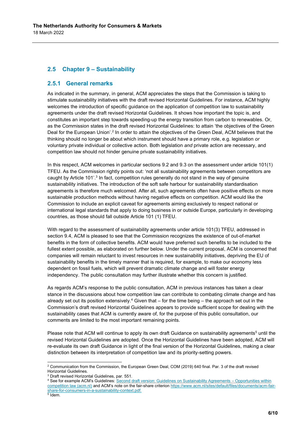#### <span id="page-5-0"></span>**2.5 Chapter 9 – Sustainability**

#### <span id="page-5-1"></span>**2.5.1 General remarks**

As indicated in the summary, in general, ACM appreciates the steps that the Commission is taking to stimulate sustainability initiatives with the draft revised Horizontal Guidelines. For instance, ACM highly welcomes the introduction of specific guidance on the application of competition law to sustainability agreements under the draft revised Horizontal Guidelines. It shows how important the topic is, and constitutes an important step towards speeding-up the energy transition from carbon to renewables. Or, as the Commission states in the draft revised Horizontal Guidelines: to attain 'the objectives of the Green Deal for the European Union'.<sup>2</sup> In order to attain the objectives of the Green Deal, ACM believes that the thinking should no longer be about which instrument should have a primary role, e.g. legislation *or* voluntary private individual or collective action. Both legislation *and* private action are necessary, and competition law should not hinder genuine private sustainability initiatives.

In this respect, ACM welcomes in particular sections 9.2 and 9.3 on the assessment under article 101(1) TFEU. As the Commission rightly points out: 'not all sustainability agreements between competitors are caught by Article 101'.<sup>3</sup> In fact, competition rules generally do not stand in the way of genuine sustainability initiatives. The introduction of the soft safe harbour for sustainability standardisation agreements is therefore much welcomed. After all, such agreements often have positive effects on more sustainable production methods without having negative effects on competition. ACM would like the Commission to include an explicit caveat for agreements aiming exclusively to respect national or international legal standards that apply to doing business in or outside Europe, particularly in developing countries, as those should fall outside Article 101 (1) TFEU.

With regard to the assessment of sustainability agreements under article 101(3) TFEU, addressed in section 9.4, ACM is pleased to see that the Commission recognizes the existence of out-of-market benefits in the form of collective benefits. ACM would have preferred such benefits to be included to the fullest extent possible, as elaborated on further below. Under the current proposal, ACM is concerned that companies will remain reluctant to invest resources in new sustainability initiatives, depriving the EU of sustainability benefits in the timely manner that is required, for example, to make our economy less dependent on fossil fuels, which will prevent dramatic climate change and will foster energy independency. The public consultation may further illustrate whether this concern is justified.

As regards ACM's response to the public consultation, ACM in previous instances has taken a clear stance in the discussions about how competition law can contribute to combating climate change and has already set out its position extensively.<sup>4</sup> Given that – for the time being – the approach set out in the Commission's draft revised Horizontal Guidelines appears to provide sufficient scope for dealing with the sustainability cases that ACM is currently aware of, for the purpose of this public consultation, our comments are limited to the most important remaining points.

Please note that ACM will continue to apply its own draft Guidance on sustainability agreements<sup>5</sup> until the revised Horizontal Guidelines are adopted. Once the Horizontal Guidelines have been adopted, ACM will re-evaluate its own draft Guidance in light of the final version of the Horizontal Guidelines, making a clear distinction between its interpretation of competition law and its priority-setting powers.

<sup>&</sup>lt;sup>2</sup> Communication from the Commission, the European Green Deal, COM (2019) 640 final. Par. 3 of the draft revised Horizontal Guidelines.

<sup>3</sup> Draft revised Horizontal Guidelines, par. 551.

<sup>4</sup> See for example ACM's Guidelines[: Second draft version: Guidelines on Sustainability Agreements –](https://www.acm.nl/sites/default/files/documents/second-draft-version-guidelines-on-sustainability-agreements-oppurtunities-within-competition-law.pdf) Opportunities within [competition law \(acm.nl\)](https://www.acm.nl/sites/default/files/documents/second-draft-version-guidelines-on-sustainability-agreements-oppurtunities-within-competition-law.pdf) and ACM's note on the fair-share criterion [https://www.acm.nl/sites/default/files/documents/acm-fair](https://www.acm.nl/sites/default/files/documents/acm-fair-share-for-consumers-in-a-sustainability-context.pdf)[share-for-consumers-in-a-sustainability-context.pdf.](https://www.acm.nl/sites/default/files/documents/acm-fair-share-for-consumers-in-a-sustainability-context.pdf) 5 Idem.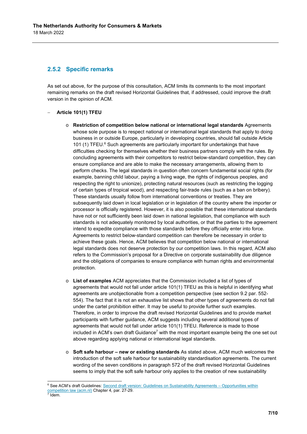#### <span id="page-6-0"></span>**2.5.2 Specific remarks**

As set out above, for the purpose of this consultation, ACM limits its comments to the most important remaining remarks on the draft revised Horizontal Guidelines that, if addressed, could improve the draft version in the opinion of ACM.

#### − **Article 101(1) TFEU**

- o **Restriction of competition below national or international legal standards** Agreements whose sole purpose is to respect national or international legal standards that apply to doing business in or outside Europe, particularly in developing countries, should fall outside Article 101 (1) TFEU. $6$  Such agreements are particularly important for undertakings that have difficulties checking for themselves whether their business partners comply with the rules. By concluding agreements with their competitors to restrict below-standard competition, they can ensure compliance and are able to make the necessary arrangements, allowing them to perform checks. The legal standards in question often concern fundamental social rights (for example, banning child labour, paying a living wage, the rights of indigenous peoples, and respecting the right to unionize), protecting natural resources (such as restricting the logging of certain types of tropical wood), and respecting fair-trade rules (such as a ban on bribery). These standards usually follow from international conventions or treaties. They are subsequently laid down in local legislation or in legislation of the country where the importer or processor is officially registered. However, it is also possible that these international standards have not or not sufficiently been laid down in national legislation, that compliance with such standards is not adequately monitored by local authorities, or that the parties to the agreement intend to expedite compliance with those standards before they officially enter into force. Agreements to restrict below-standard competition can therefore be necessary in order to achieve these goals. Hence, ACM believes that competition below national or international legal standards does not deserve protection by our competition laws. In this regard, ACM also refers to the Commission's proposal for a Directive on corporate sustainability due diligence and the obligations of companies to ensure compliance with human rights and environmental protection.
- o **List of examples** ACM appreciates that the Commission included a list of types of agreements that would not fall under article 101(1) TFEU as this is helpful in identifying what agreements are unobjectionable from a competition perspective (see section 9.2 par. 552- 554). The fact that it is not an exhaustive list shows that other types of agreements do not fall under the cartel prohibition either. It may be useful to provide further such examples. Therefore, in order to improve the draft revised Horizontal Guidelines and to provide market participants with further guidance, ACM suggests including several additional types of agreements that would not fall under article 101(1) TFEU. Reference is made to those included in ACM's own draft Guidance<sup>7</sup> with the most important example being the one set out above regarding applying national or international legal standards.
- o **Soft safe harbour – new or existing standards** As stated above, ACM much welcomes the introduction of the soft safe harbour for sustainability standardisation agreements. The current wording of the seven conditions in paragraph 572 of the draft revised Horizontal Guidelines seems to imply that the soft safe harbour only applies to the creation of new sustainability

<sup>6</sup> See ACM's draft Guidelines: [Second draft version: Guidelines on Sustainability Agreements –](https://www.acm.nl/sites/default/files/documents/second-draft-version-guidelines-on-sustainability-agreements-oppurtunities-within-competition-law.pdf) Opportunities within <u>[competition law \(acm.nl\)](https://www.acm.nl/sites/default/files/documents/second-draft-version-guidelines-on-sustainability-agreements-oppurtunities-within-competition-law.pdf)</u> Chapter 4, par. 27-29.<br><sup>7</sup> Idem

Idem.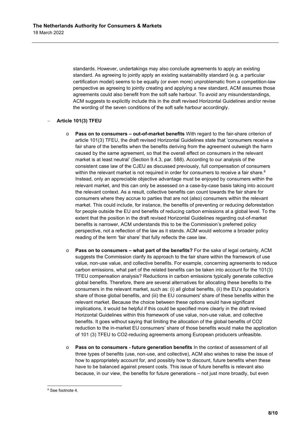standards. However, undertakings may also conclude agreements to apply an existing standard. As agreeing to jointly apply an existing sustainability standard (e.g. a particular certification model) seems to be equally (or even more) unproblematic from a competition-law perspective as agreeing to jointly creating and applying a new standard, ACM assumes those agreements could also benefit from the soft safe harbour. To avoid any misunderstandings, ACM suggests to explicitly include this in the draft revised Horizontal Guidelines and/or revise the wording of the seven conditions of the soft safe harbour accordingly.

#### − **Article 101(3) TFEU**

- o **Pass on to consumers – out-of-market benefits** With regard to the fair-share criterion of article 101(3) TFEU, the draft revised Horizontal Guidelines state that 'consumers receive a fair share of the benefits when the benefits deriving from the agreement outweigh the harm caused by the same agreement, so that the overall effect on consumers in the relevant market is at least neutral' (Section 9.4.3, par. 588). According to our analysis of the consistent case law of the CJEU as discussed previously, full compensation of consumers within the relevant market is not required in order for consumers to receive a fair share.<sup>8</sup> Instead, only an appreciable objective advantage must be enjoyed by consumers within the relevant market, and this can only be assessed on a case-by-case basis taking into account the relevant context. As a result, collective benefits can count towards the fair share for consumers where they accrue to parties that are not (also) consumers within the relevant market. This could include, for instance, the benefits of preventing or reducing deforestation for people outside the EU and benefits of reducing carbon emissions at a global level. To the extent that the position in the draft revised Horizontal Guidelines regarding out-of-market benefits is narrower, ACM understands this to be the Commission's preferred policy perspective, not a reflection of the law as it stands. ACM would welcome a broader policy reading of the term 'fair share' that fully reflects the case law.
- o **Pass on to consumers – what part of the benefits?** For the sake of legal certainty, ACM suggests the Commission clarify its approach to the fair share within the framework of use value, non-use value, and collective benefits. For example, concerning agreements to reduce carbon emissions, what part of the related benefits can be taken into account for the 101(3) TFEU compensation analysis? Reductions in carbon emissions typically generate collective global benefits. Therefore, there are several alternatives for allocating these benefits to the consumers in the relevant market, such as: (i) all global benefits, (ii) the EU's population's share of those global benefits, and (iii) the EU consumers' share of these benefits within the relevant market. Because the choice between these options would have significant implications, it would be helpful if this could be specified more clearly in the draft revised Horizontal Guidelines within this framework of use value, non-use value, and collective benefits. It goes without saying that limiting the allocation of the global benefits of CO2 reduction to the in-market EU consumers' share of those benefits would make the application of 101 (3) TFEU to CO2-reducing agreements among European producers unfeasible.
- o **Pass on to consumers - future generation benefits** In the context of assessment of all three types of benefits (use, non-use, and collective), ACM also wishes to raise the issue of how to appropriately account for, and possibly how to discount, future benefits when these have to be balanced against present costs. This issue of future benefits is relevant also because, in our view, the benefits for future generations – not just more broadly, but even

<sup>&</sup>lt;sup>8</sup> See footnote 4.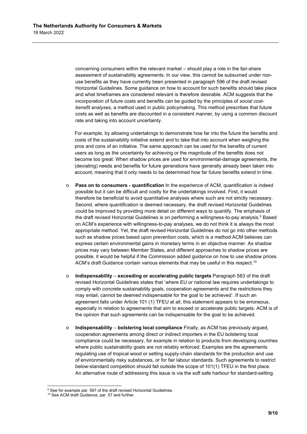concerning consumers within the relevant market – should play a role in the fair-share assessment of sustainability agreements. In our view, this cannot be subsumed under nonuse benefits as they have currently been presented in paragraph 596 of the draft revised Horizontal Guidelines. Some guidance on how to account for such benefits should take place and what timeframes are considered relevant is therefore desirable. ACM suggests that the incorporation of future costs and benefits can be guided by the principles of *social costbenefit analyses*, a method used in public policymaking. This method prescribes that future costs as well as benefits are discounted in a consistent manner, by using a common discount rate and taking into account uncertainty.

For example, by allowing undertakings to demonstrate how far into the future the benefits and costs of the sustainability initiative extend and to take that into account when weighing the pros and cons of an initiative. The same approach can be used for the benefits of current users as long as the uncertainty for achieving or the magnitude of the benefits does not become too great. When shadow prices are used for environmental-damage agreements, the (deviating) needs and benefits for future generations have generally already been taken into account, meaning that it only needs to be determined how far future benefits extend in time.

- o **Pass on to consumers - quantification** In the experience of ACM, quantification is indeed possible but it can be difficult and costly for the undertakings involved. First, it would therefore be beneficial to avoid quantitative analyses where such are not strictly necessary. Second, where quantification is deemed necessary, the draft revised Horizontal Guidelines could be improved by providing more detail on different ways to quantify. The emphasis of the draft revised Horizontal Guidelines is on performing a willingness-to-pay analysis. <sup>9</sup> Based on ACM's experience with willingness-to-pay analyses, we do not think it is always the most appropriate method. Yet, the draft revised Horizontal Guidelines do not go into other methods such as shadow prices based upon prevention costs, which is a method ACM believes can express certain environmental gains in monetary terms in an objective manner. As shadow prices may vary between Member States, and different approaches to shadow prices are possible, it would be helpful if the Commission added guidance on how to use shadow prices. ACM's draft Guidance contain various elements that may be useful in this respect.<sup>10</sup>
- o **Indispensability exceeding or accelerating public targets** Paragraph 583 of the draft revised Horizontal Guidelines states that 'where EU or national law requires undertakings to comply with concrete sustainability goals, cooperation agreements and the restrictions they may entail, cannot be deemed indispensable for the goal to be achieved'. If such an agreement falls under Article 101 (1) TFEU at all, this statement appears to be erroneous, especially in relation to agreements that aim to exceed or accelerate public targets. ACM is of the opinion that such agreements can be indispensable for the goal to be achieved.
- o **Indispensability bolstering local compliance** Finally, as ACM has previously argued, cooperation agreements among direct or indirect importers in the EU bolstering local compliance could be necessary, for example in relation to products from developing countries where public sustainability goals are not reliably enforced. Examples are the agreements regulating use of tropical wood or setting supply-chain standards for the production and use of environmentally risky substances, or for fair labour standards. Such agreements to restrict below-standard competition should fall outside the scope of 101(1) TFEU in the first place. An alternative route of addressing this issue is via the soft safe harbour for standard-setting.

<sup>&</sup>lt;sup>9</sup> See for example par. 597 of the draft revised Horizontal Guidelines.

<sup>&</sup>lt;sup>10</sup> See ACM draft Guidance, par. 57 and further.